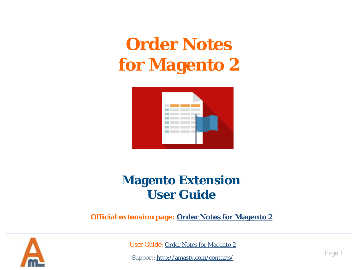# **Order Notes for Magento 2**



## **Magento Extension User Guide**

**Official extension page: Order Notes for Magento 2**



User Guide: Order Notes for Magento 2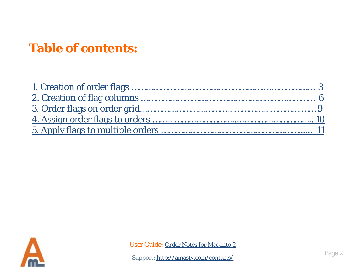# **Table of contents:**

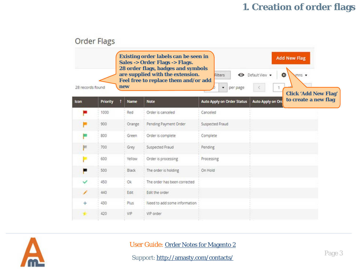## **1. Creation of order flags**

|             | <b>Order Flags</b>                                                                                                                                                                                                                                                                                                                            |              |                              |                                   |                          |                      |  |  |  |
|-------------|-----------------------------------------------------------------------------------------------------------------------------------------------------------------------------------------------------------------------------------------------------------------------------------------------------------------------------------------------|--------------|------------------------------|-----------------------------------|--------------------------|----------------------|--|--|--|
|             | <b>Existing order labels can be seen in</b><br><b>Add New Flag</b><br>Sales -> Order Flags -> Flags.<br>28 order flags, badges and symbols<br>are supplied with the extension.<br>· Default View ·<br>✿<br>Filters<br>mns<br>Feel free to replace them and/or add<br>new<br>28 records found<br>per page<br>۳.<br><b>Click 'Add New Flag'</b> |              |                              |                                   |                          |                      |  |  |  |
| <b>Icon</b> | Priority                                                                                                                                                                                                                                                                                                                                      | <b>Name</b>  | <b>Note</b>                  | <b>Auto Apply on Order Status</b> | <b>Auto Apply on Ord</b> | to create a new flag |  |  |  |
|             | 1000                                                                                                                                                                                                                                                                                                                                          | Red          | Order is canceled            | Canceled                          |                          |                      |  |  |  |
|             | 900                                                                                                                                                                                                                                                                                                                                           | Orange       | Pending Payment Order        | Suspected Fraud                   |                          |                      |  |  |  |
|             | 800                                                                                                                                                                                                                                                                                                                                           | Green        | Order is complete            | Complete                          |                          |                      |  |  |  |
| m           | 700                                                                                                                                                                                                                                                                                                                                           | Grey         | Suspected Fraud              | Pending                           |                          |                      |  |  |  |
|             | 600                                                                                                                                                                                                                                                                                                                                           | Yellow       | Order is processing          | Processing                        |                          |                      |  |  |  |
|             | 500                                                                                                                                                                                                                                                                                                                                           | <b>Black</b> | The order is holding         | On Hold                           |                          |                      |  |  |  |
|             | 450                                                                                                                                                                                                                                                                                                                                           | Ok.          | The order has been corrected |                                   |                          |                      |  |  |  |
|             | 440                                                                                                                                                                                                                                                                                                                                           | Edit         | Edit the order               |                                   |                          |                      |  |  |  |
|             | 430                                                                                                                                                                                                                                                                                                                                           | Plus         | Need to add some information |                                   |                          |                      |  |  |  |
|             | 420                                                                                                                                                                                                                                                                                                                                           | VIP          | VIP order                    |                                   |                          |                      |  |  |  |



#### User Guide: Order Notes for Magento 2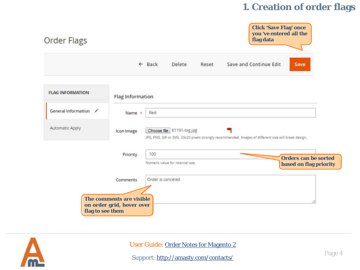#### **1. Creation of order flags**





User Guide: Order Notes for Magento 2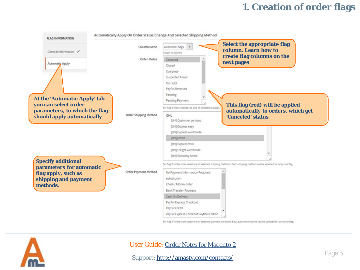#### **1. Creation of order flags**



Set flag if in the order used one of selected payment methods. Each payment method can be selected for only one flag.



#### User Guide: Order Notes for Magento 2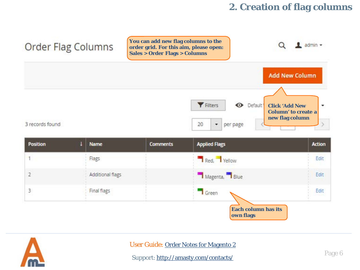#### **2. Creation of flag columns**



| Position       | <b>Name</b>      | <b>Comments</b> | <b>Applied Flags</b>                    | <b>Action</b> |
|----------------|------------------|-----------------|-----------------------------------------|---------------|
|                | Flags            |                 | Red, Yellow                             | Edit          |
| $\overline{2}$ | Additional flags |                 | Magenta, Blue                           | Edit          |
| 3              | Final flags      |                 | Green                                   | Edit<br>nsuk. |
|                |                  |                 | <b>Each column has its</b><br>own flags |               |



User Guide: Order Notes for Magento 2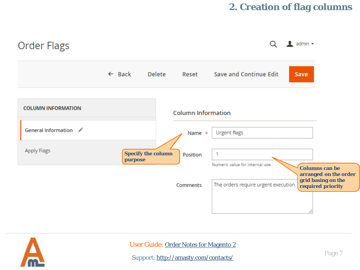#### **2. Creation of flag columns**





User Guide: Order Notes for Magento 2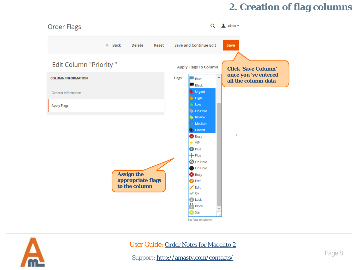#### **2. Creation of flag columns**





#### User Guide: Order Notes for Magento 2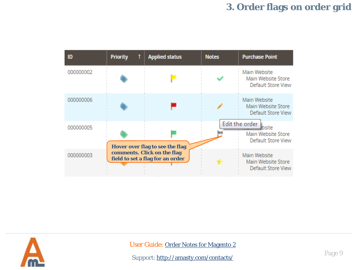## **3. Order flags on order grid**





User Guide: Order Notes for Magento 2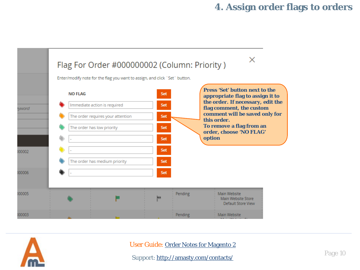#### **4. Assign order flags to orders**





User Guide: Order Notes for Magento 2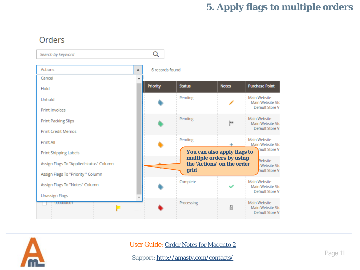### **5. Apply flags to multiple orders**

#### Orders





User Guide: Order Notes for Magento 2